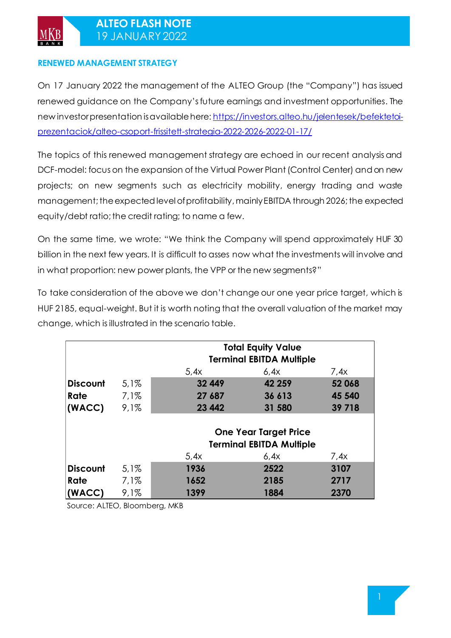### **RENEWED MANAGEMENT STRATEGY**

On 17 January 2022 the management of the ALTEO Group (the "Company") has issued renewed guidance on the Company's future earnings and investment opportunities. The new investor presentation is available here[: https://investors.alteo.hu/jelentesek/befektetoi](https://investors.alteo.hu/jelentesek/befektetoi-prezentaciok/alteo-csoport-frissitett-strategia-2022-2026-2022-01-17/)[prezentaciok/alteo-csoport-frissitett-strategia-2022-2026-2022-01-17/](https://investors.alteo.hu/jelentesek/befektetoi-prezentaciok/alteo-csoport-frissitett-strategia-2022-2026-2022-01-17/)

The topics of this renewed management strategy are echoed in our recent analysis and DCF-model: focus on the expansion of the Virtual Power Plant (Control Center) and on new projects; on new segments such as electricity mobility, energy trading and waste management; the expected level of profitability, mainly EBITDA through 2026; the expected equity/debt ratio; the credit rating; to name a few.

On the same time, we wrote: "We think the Company will spend approximately HUF 30 billion in the next few years. It is difficult to asses now what the investments will involve and in what proportion: new power plants, the VPP or the new segments?"

To take consideration of the above we don't change our one year price target, which is HUF 2185, equal-weight. But it is worth noting that the overall valuation of the market may change, which is illustrated in the scenario table.

|          | <b>Total Equity Value</b> |                                 |                                 |        |  |  |  |
|----------|---------------------------|---------------------------------|---------------------------------|--------|--|--|--|
|          |                           |                                 | <b>Terminal EBITDA Multiple</b> |        |  |  |  |
|          |                           | 5.4x                            | 6.4x                            | 7.4x   |  |  |  |
| Discount | 5,1%                      | 32 449                          | 42 259                          | 52 068 |  |  |  |
| Rate     | $7,1\%$                   | 27 687                          | 36 613                          | 45 540 |  |  |  |
| (WACC)   | 9,1%                      | 23 442                          | 31 580                          | 39 718 |  |  |  |
|          |                           |                                 |                                 |        |  |  |  |
|          |                           | <b>One Year Target Price</b>    |                                 |        |  |  |  |
|          |                           | <b>Terminal EBITDA Multiple</b> |                                 |        |  |  |  |
|          |                           | 5,4x                            | 6,4x                            | 7,4x   |  |  |  |
| Discount | 5,1%                      | 1936                            | 2522                            | 3107   |  |  |  |
| Rate     | 7,1%                      | 1652                            | 2185                            | 2717   |  |  |  |
| (WACC)   | 9.1%                      | 1399                            | 1884                            | 2370   |  |  |  |

Source: ALTEO, Bloomberg, MKB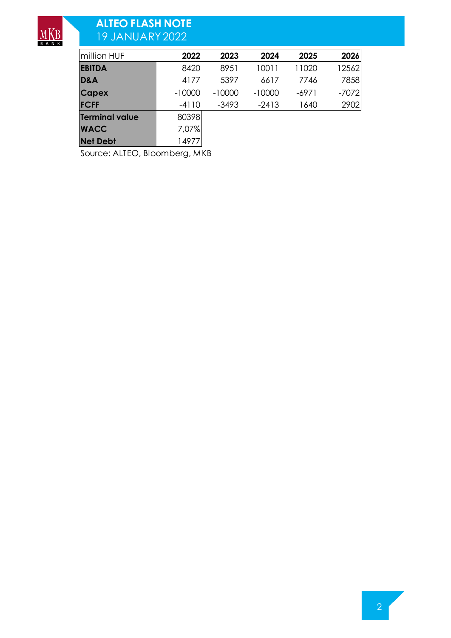

# **ALTEO FLASH NOTE**  19 JANUARY2022

| million HUF           | 2022     | 2023     | 2024     | 2025    | 2026    |
|-----------------------|----------|----------|----------|---------|---------|
| <b>EBITDA</b>         | 8420     | 8951     | 10011    | 11020   | 12562   |
| D&A                   | 4177     | 5397     | 6617     | 7746    | 7858    |
| <b>Capex</b>          | $-10000$ | $-10000$ | $-10000$ | $-6971$ | $-7072$ |
| <b>FCFF</b>           | $-4110$  | $-3493$  | $-2413$  | 1640    | 2902    |
| <b>Terminal value</b> | 80398    |          |          |         |         |
| <b>WACC</b>           | 7,07%    |          |          |         |         |
| <b>Net Debt</b>       | 14977    |          |          |         |         |

Source: ALTEO, Bloomberg, MKB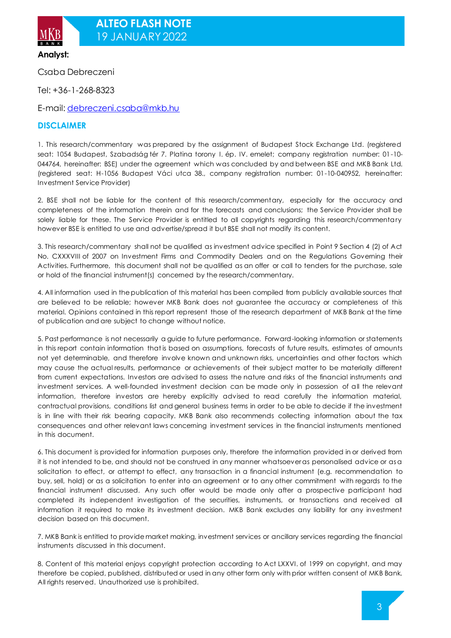

**Analyst:**

Csaba Debreczeni

Tel: +36-1-268-8323

E-mail[: debreczeni.csaba@mkb.hu](mailto:debreczeni.csaba@mkb.hu)

#### **DISCLAIMER**

1. This research/commentary was prepared by the assignment of Budapest Stock Exchange Ltd. (registered seat: 1054 Budapest, Szabadság tér 7. Platina torony I. ép. IV. emelet; company registration number: 01-10- 044764, hereinafter: BSE) under the agreement which was concluded by and between BSE and MKB Bank Ltd. (registered seat: H-1056 Budapest Váci utca 38., company registration number: 01-10-040952, hereinafter: Investment Service Provider)

2. BSE shall not be liable for the content of this research/commentary, especially for the accuracy and completeness of the information therein and for the forecasts and conclusions; the Service Provider shall be solely liable for these. The Service Provider is entitled to all copyrights regarding this research/commentary however BSE is entitled to use and advertise/spread it but BSE shall not modify its content.

3. This research/commentary shall not be qualified as investment advice specified in Point 9 Section 4 (2) of Act No. CXXXVIII of 2007 on Investment Firms and Commodity Dealers and on the Regulations Governing their Activities. Furthermore, this document shall not be qualified as an offer or call to tenders for the purchase, sale or hold of the financial instrument(s) concerned by the research/commentary.

4. All information used in the publication of this material has been compiled from publicly available sources that are believed to be reliable; however MKB Bank does not guarantee the accuracy or completeness of this material. Opinions contained in this report represent those of the research department of MKB Bank at the time of publication and are subject to change without notice.

5. Past performance is not necessarily a guide to future performance. Forward-looking information or statements in this report contain information that is based on assumptions, forecasts of future results, estimates of amounts not yet determinable, and therefore involve known and unknown risks, uncertainties and other factors which may cause the actual results, performance or achievements of their subject matter to be materially different from current expectations. Investors are advised to assess the nature and risks of the financial instruments and investment services. A well-founded investment decision can be made only in possession of all the relevant information, therefore investors are hereby explicitly advised to read carefully the information material, contractual provisions, conditions list and general business terms in order to be able to decide if the investment is in line with their risk bearing capacity. MKB Bank also recommends collecting information about the tax consequences and other relevant laws concerning investment services in the financial instruments mentioned in this document.

6. This document is provided for information purposes only, therefore the information provided in or derived from it is not intended to be, and should not be construed in any manner whatsoever as personalised advice or as a solicitation to effect, or attempt to effect, any transaction in a financial instrument (e.g. recommendation to buy, sell, hold) or as a solicitation to enter into an agreement or to any other commitment with regards to the financial instrument discussed. Any such offer would be made only after a prospective participant had completed its independent investigation of the securities, instruments, or transactions and received all information it required to make its investment decision. MKB Bank excludes any liability for any investment decision based on this document.

7. MKB Bank is entitled to provide market making, investment services or ancillary services regarding the financial instruments discussed in this document.

8. Content of this material enjoys copyright protection according to Act LXXVI. of 1999 on copyright, and may therefore be copied, published, distributed or used in any other form only with prior written consent of MKB Bank. All rights reserved. Unauthorized use is prohibited.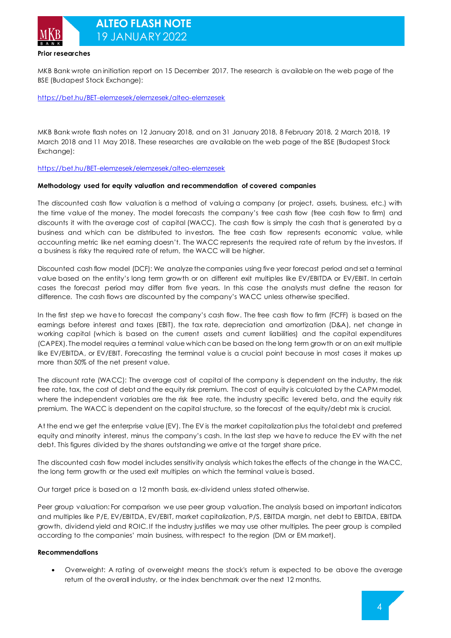

**Prior researches**

MKB Bank wrote an initiation report on 15 December 2017. The research is available on the web page of the BSE (Budapest Stock Exchange):

<https://bet.hu/BET-elemzesek/elemzesek/alteo-elemzesek>

MKB Bank wrote flash notes on 12 January 2018, and on 31 January 2018, 8 February 2018, 2 March 2018, 19 March 2018 and 11 May 2018. These researches are available on the web page of the BSE (Budapest Stock Exchange):

<https://bet.hu/BET-elemzesek/elemzesek/alteo-elemzesek>

#### **Methodology used for equity valuation and recommendation of covered companies**

The discounted cash flow valuation is a method of valuing a company (or project, assets, business, etc.) with the time value of the money. The model forecasts the company's free cash flow (free cash flow to firm) and discounts it with the average cost of capital (WACC). The cash flow is simply the cash that is generated by a business and which can be distributed to investors. The free cash flow represents economic value, while accounting metric like net earning doesn't. The WACC represents the required rate of return by the investors. If a business is risky the required rate of return, the WACC will be higher.

Discounted cash flow model (DCF): We analyze the companies using five year forecast period and set a terminal value based on the entity's long term growth or on different exit multiples like EV/EBITDA or EV/EBIT. In certain cases the forecast period may differ from five years. In this case the analysts must define the reason for difference. The cash flows are discounted by the company's WACC unless otherwise specified.

In the first step we have to forecast the company's cash flow. The free cash flow to firm (FCFF) is based on the earnings before interest and taxes (EBIT), the tax rate, depreciation and amortization (D&A), net change in working capital (which is based on the current assets and current liabilities) and the capital expenditures (CAPEX). The model requires a terminal value which can be based on the long term growth or on an exit multiple like EV/EBITDA, or EV/EBIT. Forecasting the terminal value is a crucial point because in most cases it makes up more than 50% of the net present value.

The discount rate (WACC): The average cost of capital of the company is dependent on the industry, the risk free rate, tax, the cost of debt and the equity risk premium. The cost of equity is calculated by the CAPM model, where the independent variables are the risk free rate, the industry specific levered beta, and the equity risk premium. The WACC is dependent on the capital structure, so the forecast of the equity/debt mix is crucial.

At the end we get the enterprise value (EV). The EV is the market capitalization plus the total debt and preferred equity and minority interest, minus the company's cash. In the last step we have to reduce the EV with the net debt. This figures divided by the shares outstanding we arrive at the target share price.

The discounted cash flow model includes sensitivity analysis which takes the effects of the change in the WACC, the long term growth or the used exit multiples on which the terminal value is based.

Our target price is based on a 12 month basis, ex-dividend unless stated otherwise.

Peer group valuation: For comparison we use peer group valuation. The analysis based on important indicators and multiples like P/E, EV/EBITDA, EV/EBIT, market capitalization, P/S, EBITDA margin, net debt to EBITDA, EBITDA growth, dividend yield and ROIC. If the industry justifies we may use other multiples. The peer group is compiled according to the companies' main business, with respect to the region (DM or EM market).

#### **Recommendations**

• Overweight: A rating of overweight means the stock's return is expected to be above the average return of the overall industry, or the index benchmark over the next 12 months.